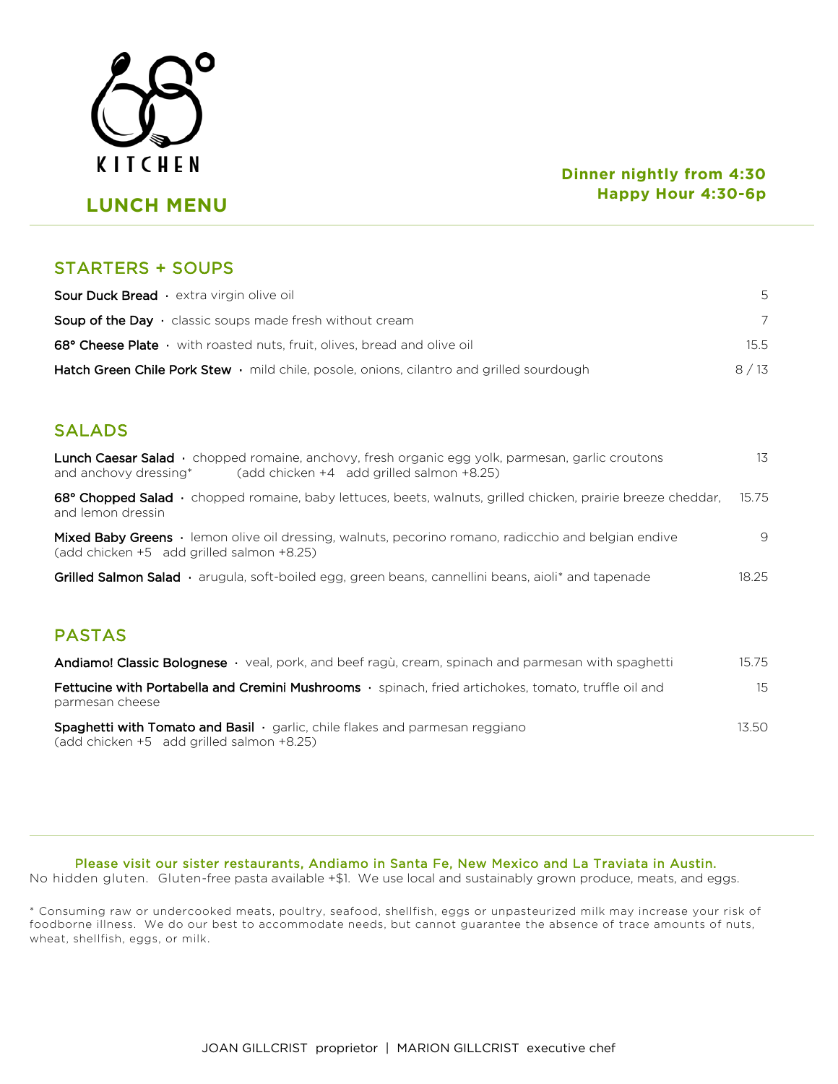

# **LUNCH MENU**

#### **Dinner nightly from 4:30 Happy Hour 4:30-6p**

### STARTERS + SOUPS

| <b>Sour Duck Bread</b> extra virgin olive oil                                                         | .5     |
|-------------------------------------------------------------------------------------------------------|--------|
| <b>Soup of the Day</b> $\cdot$ classic soups made fresh without cream                                 |        |
| 68° Cheese Plate $\cdot$ with roasted nuts, fruit, olives, bread and olive oil                        | 15.5   |
| <b>Hatch Green Chile Pork Stew</b> $\cdot$ mild chile, posole, onions, cilantro and grilled sourdough | 8 / 13 |

## SALADS

í

| <b>Lunch Caesar Salad</b> • chopped romaine, anchovy, fresh organic egg yolk, parmesan, garlic croutons<br>$(add chicken +4 add grilled salmon +8.25)$<br>and anchovy dressing* | 13    |
|---------------------------------------------------------------------------------------------------------------------------------------------------------------------------------|-------|
| 68° Chopped Salad · chopped romaine, baby lettuces, beets, walnuts, grilled chicken, prairie breeze cheddar,<br>and lemon dressin                                               | 15.75 |
| <b>Mixed Baby Greens</b> • lemon olive oil dressing, walnuts, pecorino romano, radicchio and belgian endive<br>(add chicken +5 add grilled salmon +8.25)                        | 9     |
| <b>Grilled Salmon Salad</b> $\cdot$ arugula, soft-boiled egg, green beans, cannellini beans, aioli <sup>*</sup> and tapenade                                                    | 18.25 |
|                                                                                                                                                                                 |       |
| <b>PASTAS</b>                                                                                                                                                                   |       |
| <b>Andiamo! Classic Bolognese</b> • veal, pork, and beef ragu, cream, spinach and parmesan with spaghetti                                                                       | 15.75 |
| <b>Eattucine with Portabella and Cremini Mushrooms</b> connach fried artichokes tomato truffle oil and                                                                          | 15.   |

| Fettucine with Portabella and Cremini Mushrooms · spinach, fried artichokes, tomato, truffle oil and | $15 -$ |
|------------------------------------------------------------------------------------------------------|--------|
| parmesan cheese                                                                                      |        |
| <b>Spaghetti with Tomato and Basil</b> garlic, chile flakes and parmesan reggiano                    | 13.50  |
| (add chicken +5 add grilled salmon +8.25)                                                            |        |

Please visit our sister restaurants, Andiamo in Santa Fe, New Mexico and La Traviata in Austin.

No hidden gluten. Gluten-free pasta available +\$1. We use local and sustainably grown produce, meats, and eggs.

\* Consuming raw or undercooked meats, poultry, seafood, shellfish, eggs or unpasteurized milk may increase your risk of foodborne illness. We do our best to accommodate needs, but cannot guarantee the absence of trace amounts of nuts, wheat, shellfish, eggs, or milk.